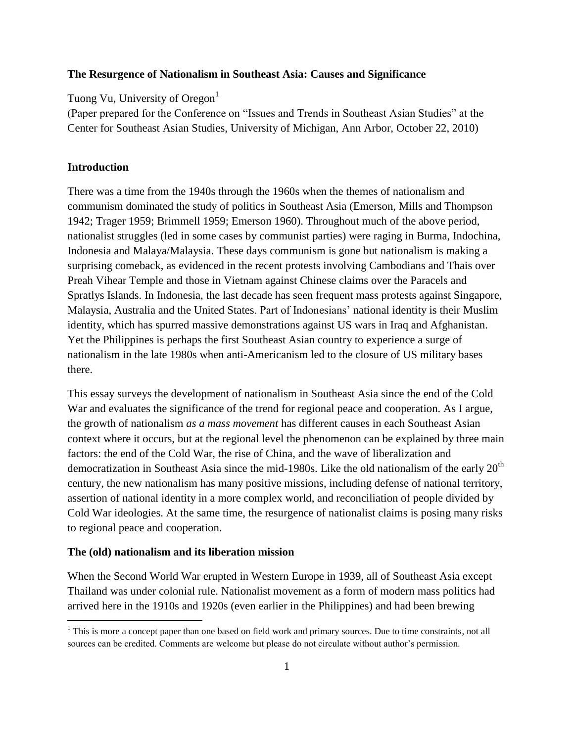## **The Resurgence of Nationalism in Southeast Asia: Causes and Significance**

Tuong Vu, University of Oregon $<sup>1</sup>$ </sup>

(Paper prepared for the Conference on "Issues and Trends in Southeast Asian Studies" at the Center for Southeast Asian Studies, University of Michigan, Ann Arbor, October 22, 2010)

# **Introduction**

 $\overline{a}$ 

There was a time from the 1940s through the 1960s when the themes of nationalism and communism dominated the study of politics in Southeast Asia (Emerson, Mills and Thompson 1942; Trager 1959; Brimmell 1959; Emerson 1960). Throughout much of the above period, nationalist struggles (led in some cases by communist parties) were raging in Burma, Indochina, Indonesia and Malaya/Malaysia. These days communism is gone but nationalism is making a surprising comeback, as evidenced in the recent protests involving Cambodians and Thais over Preah Vihear Temple and those in Vietnam against Chinese claims over the Paracels and Spratlys Islands. In Indonesia, the last decade has seen frequent mass protests against Singapore, Malaysia, Australia and the United States. Part of Indonesians' national identity is their Muslim identity, which has spurred massive demonstrations against US wars in Iraq and Afghanistan. Yet the Philippines is perhaps the first Southeast Asian country to experience a surge of nationalism in the late 1980s when anti-Americanism led to the closure of US military bases there.

This essay surveys the development of nationalism in Southeast Asia since the end of the Cold War and evaluates the significance of the trend for regional peace and cooperation. As I argue, the growth of nationalism *as a mass movement* has different causes in each Southeast Asian context where it occurs, but at the regional level the phenomenon can be explained by three main factors: the end of the Cold War, the rise of China, and the wave of liberalization and democratization in Southeast Asia since the mid-1980s. Like the old nationalism of the early  $20<sup>th</sup>$ century, the new nationalism has many positive missions, including defense of national territory, assertion of national identity in a more complex world, and reconciliation of people divided by Cold War ideologies. At the same time, the resurgence of nationalist claims is posing many risks to regional peace and cooperation.

### **The (old) nationalism and its liberation mission**

When the Second World War erupted in Western Europe in 1939, all of Southeast Asia except Thailand was under colonial rule. Nationalist movement as a form of modern mass politics had arrived here in the 1910s and 1920s (even earlier in the Philippines) and had been brewing

<sup>&</sup>lt;sup>1</sup> This is more a concept paper than one based on field work and primary sources. Due to time constraints, not all sources can be credited. Comments are welcome but please do not circulate without author's permission.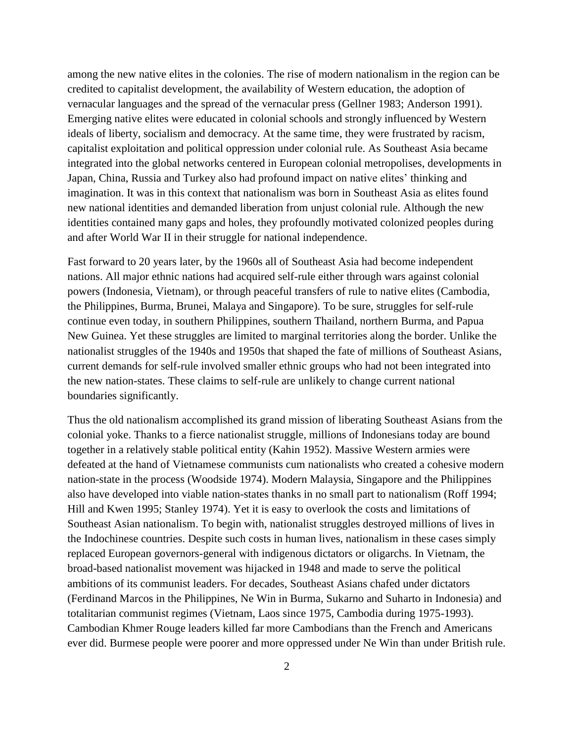among the new native elites in the colonies. The rise of modern nationalism in the region can be credited to capitalist development, the availability of Western education, the adoption of vernacular languages and the spread of the vernacular press (Gellner 1983; Anderson 1991). Emerging native elites were educated in colonial schools and strongly influenced by Western ideals of liberty, socialism and democracy. At the same time, they were frustrated by racism, capitalist exploitation and political oppression under colonial rule. As Southeast Asia became integrated into the global networks centered in European colonial metropolises, developments in Japan, China, Russia and Turkey also had profound impact on native elites' thinking and imagination. It was in this context that nationalism was born in Southeast Asia as elites found new national identities and demanded liberation from unjust colonial rule. Although the new identities contained many gaps and holes, they profoundly motivated colonized peoples during and after World War II in their struggle for national independence.

Fast forward to 20 years later, by the 1960s all of Southeast Asia had become independent nations. All major ethnic nations had acquired self-rule either through wars against colonial powers (Indonesia, Vietnam), or through peaceful transfers of rule to native elites (Cambodia, the Philippines, Burma, Brunei, Malaya and Singapore). To be sure, struggles for self-rule continue even today, in southern Philippines, southern Thailand, northern Burma, and Papua New Guinea. Yet these struggles are limited to marginal territories along the border. Unlike the nationalist struggles of the 1940s and 1950s that shaped the fate of millions of Southeast Asians, current demands for self-rule involved smaller ethnic groups who had not been integrated into the new nation-states. These claims to self-rule are unlikely to change current national boundaries significantly.

Thus the old nationalism accomplished its grand mission of liberating Southeast Asians from the colonial yoke. Thanks to a fierce nationalist struggle, millions of Indonesians today are bound together in a relatively stable political entity (Kahin 1952). Massive Western armies were defeated at the hand of Vietnamese communists cum nationalists who created a cohesive modern nation-state in the process (Woodside 1974). Modern Malaysia, Singapore and the Philippines also have developed into viable nation-states thanks in no small part to nationalism (Roff 1994; Hill and Kwen 1995; Stanley 1974). Yet it is easy to overlook the costs and limitations of Southeast Asian nationalism. To begin with, nationalist struggles destroyed millions of lives in the Indochinese countries. Despite such costs in human lives, nationalism in these cases simply replaced European governors-general with indigenous dictators or oligarchs. In Vietnam, the broad-based nationalist movement was hijacked in 1948 and made to serve the political ambitions of its communist leaders. For decades, Southeast Asians chafed under dictators (Ferdinand Marcos in the Philippines, Ne Win in Burma, Sukarno and Suharto in Indonesia) and totalitarian communist regimes (Vietnam, Laos since 1975, Cambodia during 1975-1993). Cambodian Khmer Rouge leaders killed far more Cambodians than the French and Americans ever did. Burmese people were poorer and more oppressed under Ne Win than under British rule.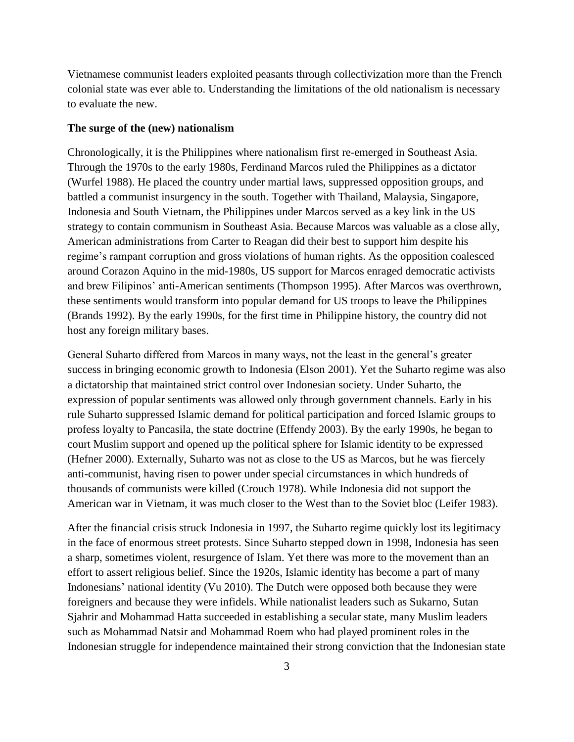Vietnamese communist leaders exploited peasants through collectivization more than the French colonial state was ever able to. Understanding the limitations of the old nationalism is necessary to evaluate the new.

## **The surge of the (new) nationalism**

Chronologically, it is the Philippines where nationalism first re-emerged in Southeast Asia. Through the 1970s to the early 1980s, Ferdinand Marcos ruled the Philippines as a dictator (Wurfel 1988). He placed the country under martial laws, suppressed opposition groups, and battled a communist insurgency in the south. Together with Thailand, Malaysia, Singapore, Indonesia and South Vietnam, the Philippines under Marcos served as a key link in the US strategy to contain communism in Southeast Asia. Because Marcos was valuable as a close ally, American administrations from Carter to Reagan did their best to support him despite his regime's rampant corruption and gross violations of human rights. As the opposition coalesced around Corazon Aquino in the mid-1980s, US support for Marcos enraged democratic activists and brew Filipinos' anti-American sentiments (Thompson 1995). After Marcos was overthrown, these sentiments would transform into popular demand for US troops to leave the Philippines (Brands 1992). By the early 1990s, for the first time in Philippine history, the country did not host any foreign military bases.

General Suharto differed from Marcos in many ways, not the least in the general's greater success in bringing economic growth to Indonesia (Elson 2001). Yet the Suharto regime was also a dictatorship that maintained strict control over Indonesian society. Under Suharto, the expression of popular sentiments was allowed only through government channels. Early in his rule Suharto suppressed Islamic demand for political participation and forced Islamic groups to profess loyalty to Pancasila, the state doctrine (Effendy 2003). By the early 1990s, he began to court Muslim support and opened up the political sphere for Islamic identity to be expressed (Hefner 2000). Externally, Suharto was not as close to the US as Marcos, but he was fiercely anti-communist, having risen to power under special circumstances in which hundreds of thousands of communists were killed (Crouch 1978). While Indonesia did not support the American war in Vietnam, it was much closer to the West than to the Soviet bloc (Leifer 1983).

After the financial crisis struck Indonesia in 1997, the Suharto regime quickly lost its legitimacy in the face of enormous street protests. Since Suharto stepped down in 1998, Indonesia has seen a sharp, sometimes violent, resurgence of Islam. Yet there was more to the movement than an effort to assert religious belief. Since the 1920s, Islamic identity has become a part of many Indonesians' national identity (Vu 2010). The Dutch were opposed both because they were foreigners and because they were infidels. While nationalist leaders such as Sukarno, Sutan Sjahrir and Mohammad Hatta succeeded in establishing a secular state, many Muslim leaders such as Mohammad Natsir and Mohammad Roem who had played prominent roles in the Indonesian struggle for independence maintained their strong conviction that the Indonesian state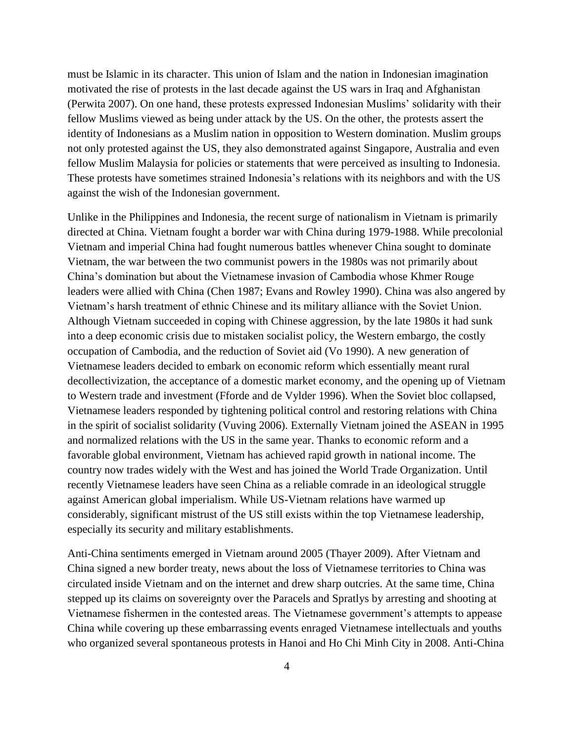must be Islamic in its character. This union of Islam and the nation in Indonesian imagination motivated the rise of protests in the last decade against the US wars in Iraq and Afghanistan (Perwita 2007). On one hand, these protests expressed Indonesian Muslims' solidarity with their fellow Muslims viewed as being under attack by the US. On the other, the protests assert the identity of Indonesians as a Muslim nation in opposition to Western domination. Muslim groups not only protested against the US, they also demonstrated against Singapore, Australia and even fellow Muslim Malaysia for policies or statements that were perceived as insulting to Indonesia. These protests have sometimes strained Indonesia's relations with its neighbors and with the US against the wish of the Indonesian government.

Unlike in the Philippines and Indonesia, the recent surge of nationalism in Vietnam is primarily directed at China. Vietnam fought a border war with China during 1979-1988. While precolonial Vietnam and imperial China had fought numerous battles whenever China sought to dominate Vietnam, the war between the two communist powers in the 1980s was not primarily about China's domination but about the Vietnamese invasion of Cambodia whose Khmer Rouge leaders were allied with China (Chen 1987; Evans and Rowley 1990). China was also angered by Vietnam's harsh treatment of ethnic Chinese and its military alliance with the Soviet Union. Although Vietnam succeeded in coping with Chinese aggression, by the late 1980s it had sunk into a deep economic crisis due to mistaken socialist policy, the Western embargo, the costly occupation of Cambodia, and the reduction of Soviet aid (Vo 1990). A new generation of Vietnamese leaders decided to embark on economic reform which essentially meant rural decollectivization, the acceptance of a domestic market economy, and the opening up of Vietnam to Western trade and investment (Fforde and de Vylder 1996). When the Soviet bloc collapsed, Vietnamese leaders responded by tightening political control and restoring relations with China in the spirit of socialist solidarity (Vuving 2006). Externally Vietnam joined the ASEAN in 1995 and normalized relations with the US in the same year. Thanks to economic reform and a favorable global environment, Vietnam has achieved rapid growth in national income. The country now trades widely with the West and has joined the World Trade Organization. Until recently Vietnamese leaders have seen China as a reliable comrade in an ideological struggle against American global imperialism. While US-Vietnam relations have warmed up considerably, significant mistrust of the US still exists within the top Vietnamese leadership, especially its security and military establishments.

Anti-China sentiments emerged in Vietnam around 2005 (Thayer 2009). After Vietnam and China signed a new border treaty, news about the loss of Vietnamese territories to China was circulated inside Vietnam and on the internet and drew sharp outcries. At the same time, China stepped up its claims on sovereignty over the Paracels and Spratlys by arresting and shooting at Vietnamese fishermen in the contested areas. The Vietnamese government's attempts to appease China while covering up these embarrassing events enraged Vietnamese intellectuals and youths who organized several spontaneous protests in Hanoi and Ho Chi Minh City in 2008. Anti-China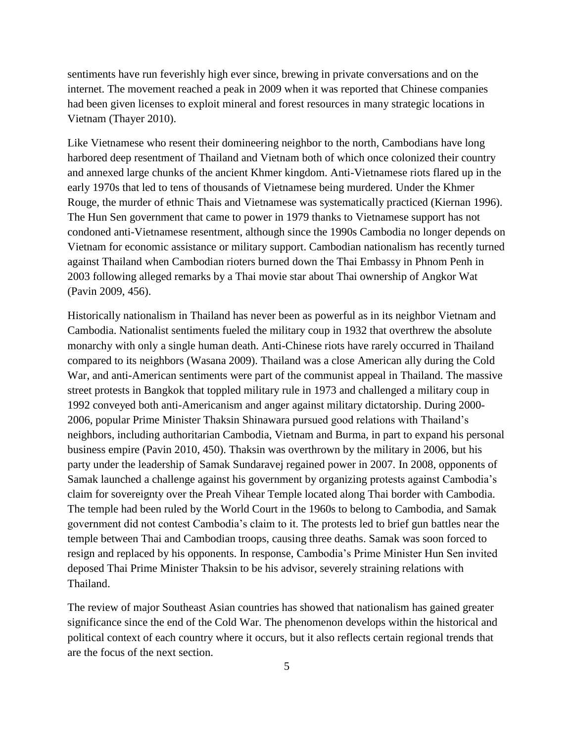sentiments have run feverishly high ever since, brewing in private conversations and on the internet. The movement reached a peak in 2009 when it was reported that Chinese companies had been given licenses to exploit mineral and forest resources in many strategic locations in Vietnam (Thayer 2010).

Like Vietnamese who resent their domineering neighbor to the north, Cambodians have long harbored deep resentment of Thailand and Vietnam both of which once colonized their country and annexed large chunks of the ancient Khmer kingdom. Anti-Vietnamese riots flared up in the early 1970s that led to tens of thousands of Vietnamese being murdered. Under the Khmer Rouge, the murder of ethnic Thais and Vietnamese was systematically practiced (Kiernan 1996). The Hun Sen government that came to power in 1979 thanks to Vietnamese support has not condoned anti-Vietnamese resentment, although since the 1990s Cambodia no longer depends on Vietnam for economic assistance or military support. Cambodian nationalism has recently turned against Thailand when Cambodian rioters burned down the Thai Embassy in Phnom Penh in 2003 following alleged remarks by a Thai movie star about Thai ownership of Angkor Wat (Pavin 2009, 456).

Historically nationalism in Thailand has never been as powerful as in its neighbor Vietnam and Cambodia. Nationalist sentiments fueled the military coup in 1932 that overthrew the absolute monarchy with only a single human death. Anti-Chinese riots have rarely occurred in Thailand compared to its neighbors (Wasana 2009). Thailand was a close American ally during the Cold War, and anti-American sentiments were part of the communist appeal in Thailand. The massive street protests in Bangkok that toppled military rule in 1973 and challenged a military coup in 1992 conveyed both anti-Americanism and anger against military dictatorship. During 2000- 2006, popular Prime Minister Thaksin Shinawara pursued good relations with Thailand's neighbors, including authoritarian Cambodia, Vietnam and Burma, in part to expand his personal business empire (Pavin 2010, 450). Thaksin was overthrown by the military in 2006, but his party under the leadership of Samak Sundaravej regained power in 2007. In 2008, opponents of Samak launched a challenge against his government by organizing protests against Cambodia's claim for sovereignty over the Preah Vihear Temple located along Thai border with Cambodia. The temple had been ruled by the World Court in the 1960s to belong to Cambodia, and Samak government did not contest Cambodia's claim to it. The protests led to brief gun battles near the temple between Thai and Cambodian troops, causing three deaths. Samak was soon forced to resign and replaced by his opponents. In response, Cambodia's Prime Minister Hun Sen invited deposed Thai Prime Minister Thaksin to be his advisor, severely straining relations with Thailand.

The review of major Southeast Asian countries has showed that nationalism has gained greater significance since the end of the Cold War. The phenomenon develops within the historical and political context of each country where it occurs, but it also reflects certain regional trends that are the focus of the next section.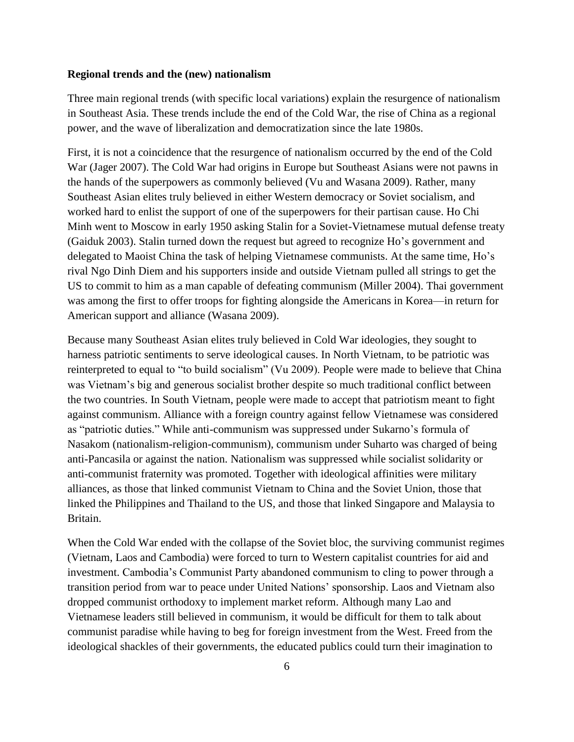#### **Regional trends and the (new) nationalism**

Three main regional trends (with specific local variations) explain the resurgence of nationalism in Southeast Asia. These trends include the end of the Cold War, the rise of China as a regional power, and the wave of liberalization and democratization since the late 1980s.

First, it is not a coincidence that the resurgence of nationalism occurred by the end of the Cold War (Jager 2007). The Cold War had origins in Europe but Southeast Asians were not pawns in the hands of the superpowers as commonly believed (Vu and Wasana 2009). Rather, many Southeast Asian elites truly believed in either Western democracy or Soviet socialism, and worked hard to enlist the support of one of the superpowers for their partisan cause. Ho Chi Minh went to Moscow in early 1950 asking Stalin for a Soviet-Vietnamese mutual defense treaty (Gaiduk 2003). Stalin turned down the request but agreed to recognize Ho's government and delegated to Maoist China the task of helping Vietnamese communists. At the same time, Ho's rival Ngo Dinh Diem and his supporters inside and outside Vietnam pulled all strings to get the US to commit to him as a man capable of defeating communism (Miller 2004). Thai government was among the first to offer troops for fighting alongside the Americans in Korea—in return for American support and alliance (Wasana 2009).

Because many Southeast Asian elites truly believed in Cold War ideologies, they sought to harness patriotic sentiments to serve ideological causes. In North Vietnam, to be patriotic was reinterpreted to equal to "to build socialism" (Vu 2009). People were made to believe that China was Vietnam's big and generous socialist brother despite so much traditional conflict between the two countries. In South Vietnam, people were made to accept that patriotism meant to fight against communism. Alliance with a foreign country against fellow Vietnamese was considered as "patriotic duties." While anti-communism was suppressed under Sukarno's formula of Nasakom (nationalism-religion-communism), communism under Suharto was charged of being anti-Pancasila or against the nation. Nationalism was suppressed while socialist solidarity or anti-communist fraternity was promoted. Together with ideological affinities were military alliances, as those that linked communist Vietnam to China and the Soviet Union, those that linked the Philippines and Thailand to the US, and those that linked Singapore and Malaysia to Britain.

When the Cold War ended with the collapse of the Soviet bloc, the surviving communist regimes (Vietnam, Laos and Cambodia) were forced to turn to Western capitalist countries for aid and investment. Cambodia's Communist Party abandoned communism to cling to power through a transition period from war to peace under United Nations' sponsorship. Laos and Vietnam also dropped communist orthodoxy to implement market reform. Although many Lao and Vietnamese leaders still believed in communism, it would be difficult for them to talk about communist paradise while having to beg for foreign investment from the West. Freed from the ideological shackles of their governments, the educated publics could turn their imagination to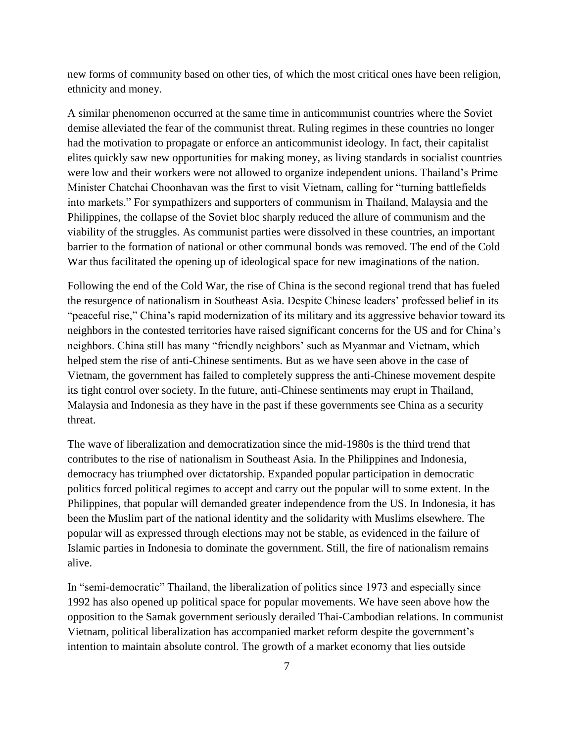new forms of community based on other ties, of which the most critical ones have been religion, ethnicity and money.

A similar phenomenon occurred at the same time in anticommunist countries where the Soviet demise alleviated the fear of the communist threat. Ruling regimes in these countries no longer had the motivation to propagate or enforce an anticommunist ideology. In fact, their capitalist elites quickly saw new opportunities for making money, as living standards in socialist countries were low and their workers were not allowed to organize independent unions. Thailand's Prime Minister Chatchai Choonhavan was the first to visit Vietnam, calling for "turning battlefields into markets." For sympathizers and supporters of communism in Thailand, Malaysia and the Philippines, the collapse of the Soviet bloc sharply reduced the allure of communism and the viability of the struggles. As communist parties were dissolved in these countries, an important barrier to the formation of national or other communal bonds was removed. The end of the Cold War thus facilitated the opening up of ideological space for new imaginations of the nation.

Following the end of the Cold War, the rise of China is the second regional trend that has fueled the resurgence of nationalism in Southeast Asia. Despite Chinese leaders' professed belief in its "peaceful rise," China's rapid modernization of its military and its aggressive behavior toward its neighbors in the contested territories have raised significant concerns for the US and for China's neighbors. China still has many "friendly neighbors' such as Myanmar and Vietnam, which helped stem the rise of anti-Chinese sentiments. But as we have seen above in the case of Vietnam, the government has failed to completely suppress the anti-Chinese movement despite its tight control over society. In the future, anti-Chinese sentiments may erupt in Thailand, Malaysia and Indonesia as they have in the past if these governments see China as a security threat.

The wave of liberalization and democratization since the mid-1980s is the third trend that contributes to the rise of nationalism in Southeast Asia. In the Philippines and Indonesia, democracy has triumphed over dictatorship. Expanded popular participation in democratic politics forced political regimes to accept and carry out the popular will to some extent. In the Philippines, that popular will demanded greater independence from the US. In Indonesia, it has been the Muslim part of the national identity and the solidarity with Muslims elsewhere. The popular will as expressed through elections may not be stable, as evidenced in the failure of Islamic parties in Indonesia to dominate the government. Still, the fire of nationalism remains alive.

In "semi-democratic" Thailand, the liberalization of politics since 1973 and especially since 1992 has also opened up political space for popular movements. We have seen above how the opposition to the Samak government seriously derailed Thai-Cambodian relations. In communist Vietnam, political liberalization has accompanied market reform despite the government's intention to maintain absolute control. The growth of a market economy that lies outside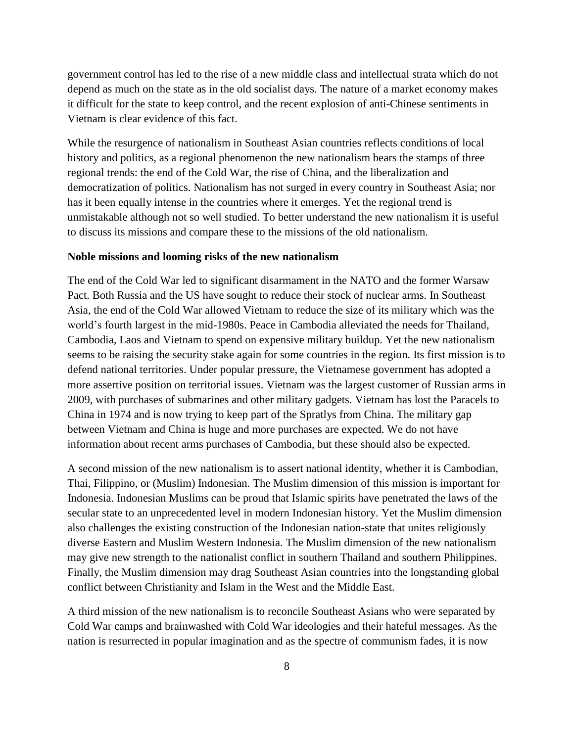government control has led to the rise of a new middle class and intellectual strata which do not depend as much on the state as in the old socialist days. The nature of a market economy makes it difficult for the state to keep control, and the recent explosion of anti-Chinese sentiments in Vietnam is clear evidence of this fact.

While the resurgence of nationalism in Southeast Asian countries reflects conditions of local history and politics, as a regional phenomenon the new nationalism bears the stamps of three regional trends: the end of the Cold War, the rise of China, and the liberalization and democratization of politics. Nationalism has not surged in every country in Southeast Asia; nor has it been equally intense in the countries where it emerges. Yet the regional trend is unmistakable although not so well studied. To better understand the new nationalism it is useful to discuss its missions and compare these to the missions of the old nationalism.

### **Noble missions and looming risks of the new nationalism**

The end of the Cold War led to significant disarmament in the NATO and the former Warsaw Pact. Both Russia and the US have sought to reduce their stock of nuclear arms. In Southeast Asia, the end of the Cold War allowed Vietnam to reduce the size of its military which was the world's fourth largest in the mid-1980s. Peace in Cambodia alleviated the needs for Thailand, Cambodia, Laos and Vietnam to spend on expensive military buildup. Yet the new nationalism seems to be raising the security stake again for some countries in the region. Its first mission is to defend national territories. Under popular pressure, the Vietnamese government has adopted a more assertive position on territorial issues. Vietnam was the largest customer of Russian arms in 2009, with purchases of submarines and other military gadgets. Vietnam has lost the Paracels to China in 1974 and is now trying to keep part of the Spratlys from China. The military gap between Vietnam and China is huge and more purchases are expected. We do not have information about recent arms purchases of Cambodia, but these should also be expected.

A second mission of the new nationalism is to assert national identity, whether it is Cambodian, Thai, Filippino, or (Muslim) Indonesian. The Muslim dimension of this mission is important for Indonesia. Indonesian Muslims can be proud that Islamic spirits have penetrated the laws of the secular state to an unprecedented level in modern Indonesian history. Yet the Muslim dimension also challenges the existing construction of the Indonesian nation-state that unites religiously diverse Eastern and Muslim Western Indonesia. The Muslim dimension of the new nationalism may give new strength to the nationalist conflict in southern Thailand and southern Philippines. Finally, the Muslim dimension may drag Southeast Asian countries into the longstanding global conflict between Christianity and Islam in the West and the Middle East.

A third mission of the new nationalism is to reconcile Southeast Asians who were separated by Cold War camps and brainwashed with Cold War ideologies and their hateful messages. As the nation is resurrected in popular imagination and as the spectre of communism fades, it is now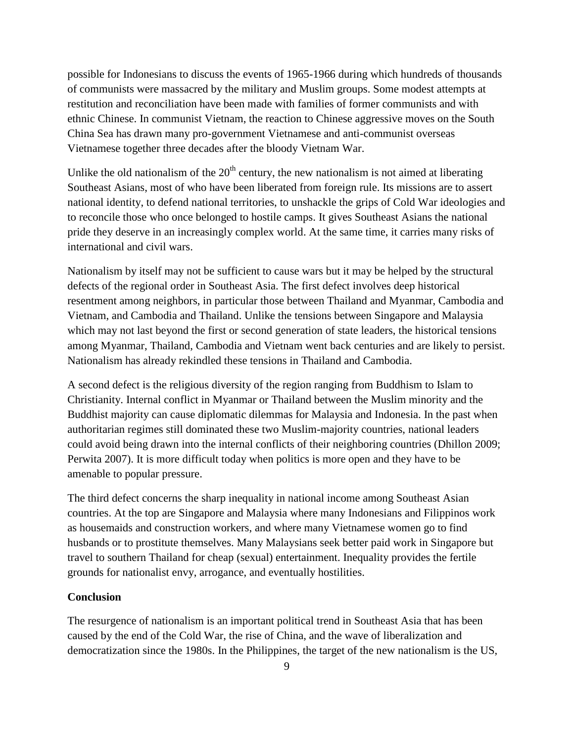possible for Indonesians to discuss the events of 1965-1966 during which hundreds of thousands of communists were massacred by the military and Muslim groups. Some modest attempts at restitution and reconciliation have been made with families of former communists and with ethnic Chinese. In communist Vietnam, the reaction to Chinese aggressive moves on the South China Sea has drawn many pro-government Vietnamese and anti-communist overseas Vietnamese together three decades after the bloody Vietnam War.

Unlike the old nationalism of the  $20<sup>th</sup>$  century, the new nationalism is not aimed at liberating Southeast Asians, most of who have been liberated from foreign rule. Its missions are to assert national identity, to defend national territories, to unshackle the grips of Cold War ideologies and to reconcile those who once belonged to hostile camps. It gives Southeast Asians the national pride they deserve in an increasingly complex world. At the same time, it carries many risks of international and civil wars.

Nationalism by itself may not be sufficient to cause wars but it may be helped by the structural defects of the regional order in Southeast Asia. The first defect involves deep historical resentment among neighbors, in particular those between Thailand and Myanmar, Cambodia and Vietnam, and Cambodia and Thailand. Unlike the tensions between Singapore and Malaysia which may not last beyond the first or second generation of state leaders, the historical tensions among Myanmar, Thailand, Cambodia and Vietnam went back centuries and are likely to persist. Nationalism has already rekindled these tensions in Thailand and Cambodia.

A second defect is the religious diversity of the region ranging from Buddhism to Islam to Christianity. Internal conflict in Myanmar or Thailand between the Muslim minority and the Buddhist majority can cause diplomatic dilemmas for Malaysia and Indonesia. In the past when authoritarian regimes still dominated these two Muslim-majority countries, national leaders could avoid being drawn into the internal conflicts of their neighboring countries (Dhillon 2009; Perwita 2007). It is more difficult today when politics is more open and they have to be amenable to popular pressure.

The third defect concerns the sharp inequality in national income among Southeast Asian countries. At the top are Singapore and Malaysia where many Indonesians and Filippinos work as housemaids and construction workers, and where many Vietnamese women go to find husbands or to prostitute themselves. Many Malaysians seek better paid work in Singapore but travel to southern Thailand for cheap (sexual) entertainment. Inequality provides the fertile grounds for nationalist envy, arrogance, and eventually hostilities.

# **Conclusion**

The resurgence of nationalism is an important political trend in Southeast Asia that has been caused by the end of the Cold War, the rise of China, and the wave of liberalization and democratization since the 1980s. In the Philippines, the target of the new nationalism is the US,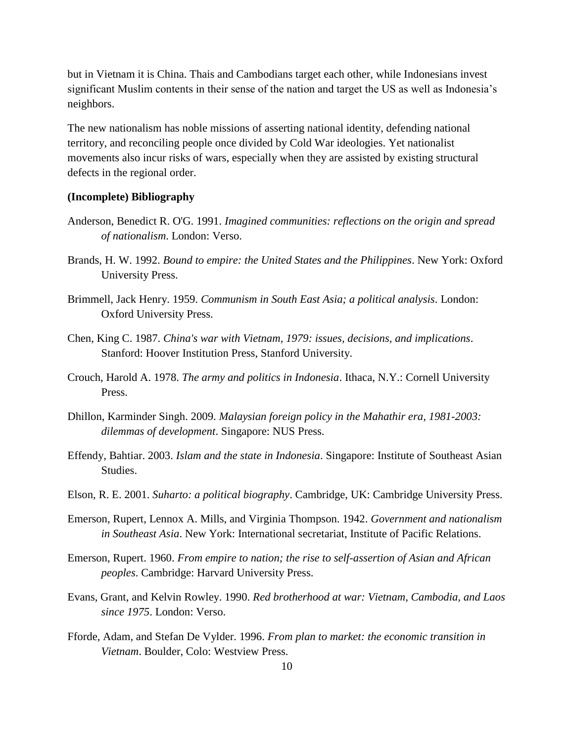but in Vietnam it is China. Thais and Cambodians target each other, while Indonesians invest significant Muslim contents in their sense of the nation and target the US as well as Indonesia's neighbors.

The new nationalism has noble missions of asserting national identity, defending national territory, and reconciling people once divided by Cold War ideologies. Yet nationalist movements also incur risks of wars, especially when they are assisted by existing structural defects in the regional order.

#### **(Incomplete) Bibliography**

- Anderson, Benedict R. O'G. 1991. *Imagined communities: reflections on the origin and spread of nationalism*. London: Verso.
- Brands, H. W. 1992. *Bound to empire: the United States and the Philippines*. New York: Oxford University Press.
- Brimmell, Jack Henry. 1959. *Communism in South East Asia; a political analysis*. London: Oxford University Press.
- Chen, King C. 1987. *China's war with Vietnam, 1979: issues, decisions, and implications*. Stanford: Hoover Institution Press, Stanford University.
- Crouch, Harold A. 1978. *The army and politics in Indonesia*. Ithaca, N.Y.: Cornell University Press.
- Dhillon, Karminder Singh. 2009. *Malaysian foreign policy in the Mahathir era, 1981-2003: dilemmas of development*. Singapore: NUS Press.
- Effendy, Bahtiar. 2003. *Islam and the state in Indonesia*. Singapore: Institute of Southeast Asian Studies.
- Elson, R. E. 2001. *Suharto: a political biography*. Cambridge, UK: Cambridge University Press.
- Emerson, Rupert, Lennox A. Mills, and Virginia Thompson. 1942. *Government and nationalism in Southeast Asia*. New York: International secretariat, Institute of Pacific Relations.
- Emerson, Rupert. 1960. *From empire to nation; the rise to self-assertion of Asian and African peoples*. Cambridge: Harvard University Press.
- Evans, Grant, and Kelvin Rowley. 1990. *Red brotherhood at war: Vietnam, Cambodia, and Laos since 1975*. London: Verso.
- Fforde, Adam, and Stefan De Vylder. 1996. *From plan to market: the economic transition in Vietnam*. Boulder, Colo: Westview Press.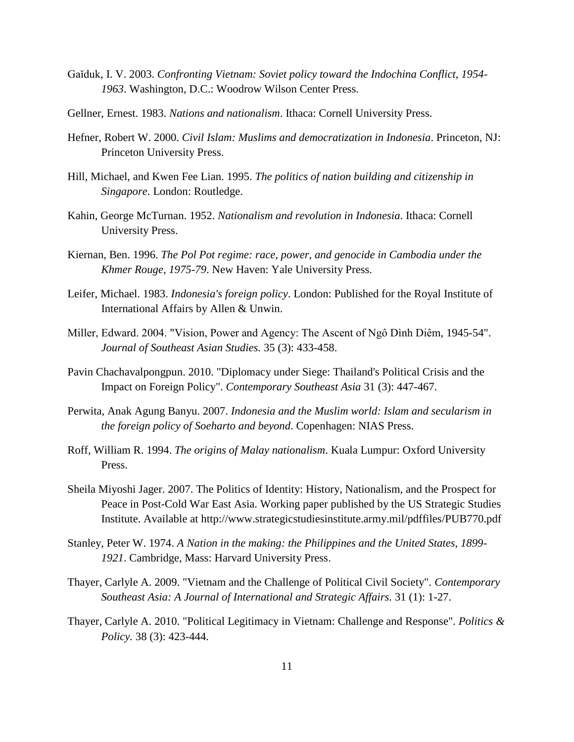- Gaiduk, I. V. 2003. *Confronting Vietnam: Soviet policy toward the Indochina Conflict, 1954-1963*. Washington, D.C.: Woodrow Wilson Center Press.
- Gellner, Ernest. 1983. *Nations and nationalism*. Ithaca: Cornell University Press.
- Hefner, Robert W. 2000. *Civil Islam: Muslims and democratization in Indonesia*. Princeton, NJ: Princeton University Press.
- Hill, Michael, and Kwen Fee Lian. 1995. *The politics of nation building and citizenship in Singapore*. London: Routledge.
- Kahin, George McTurnan. 1952. *Nationalism and revolution in Indonesia*. Ithaca: Cornell University Press.
- Kiernan, Ben. 1996. *The Pol Pot regime: race, power, and genocide in Cambodia under the Khmer Rouge, 1975-79*. New Haven: Yale University Press.
- Leifer, Michael. 1983. *Indonesia's foreign policy*. London: Published for the Royal Institute of International Affairs by Allen & Unwin.
- Miller, Edward. 2004. "Vision, Power and Agency: The Ascent of Ngô Dình Diêm, 1945-54". *Journal of Southeast Asian Studies.* 35 (3): 433-458.
- Pavin Chachavalpongpun. 2010. "Diplomacy under Siege: Thailand's Political Crisis and the Impact on Foreign Policy". *Contemporary Southeast Asia* 31 (3): 447-467.
- Perwita, Anak Agung Banyu. 2007. *Indonesia and the Muslim world: Islam and secularism in the foreign policy of Soeharto and beyond*. Copenhagen: NIAS Press.
- Roff, William R. 1994. *The origins of Malay nationalism*. Kuala Lumpur: Oxford University Press.
- Sheila Miyoshi Jager. 2007. The Politics of Identity: History, Nationalism, and the Prospect for Peace in Post-Cold War East Asia. Working paper published by the US Strategic Studies Institute. Available at http://www.strategicstudiesinstitute.army.mil/pdffiles/PUB770.pdf
- Stanley, Peter W. 1974. *A Nation in the making: the Philippines and the United States, 1899- 1921*. Cambridge, Mass: Harvard University Press.
- Thayer, Carlyle A. 2009. "Vietnam and the Challenge of Political Civil Society". *Contemporary Southeast Asia: A Journal of International and Strategic Affairs.* 31 (1): 1-27.
- Thayer, Carlyle A. 2010. "Political Legitimacy in Vietnam: Challenge and Response". *Politics & Policy.* 38 (3): 423-444.